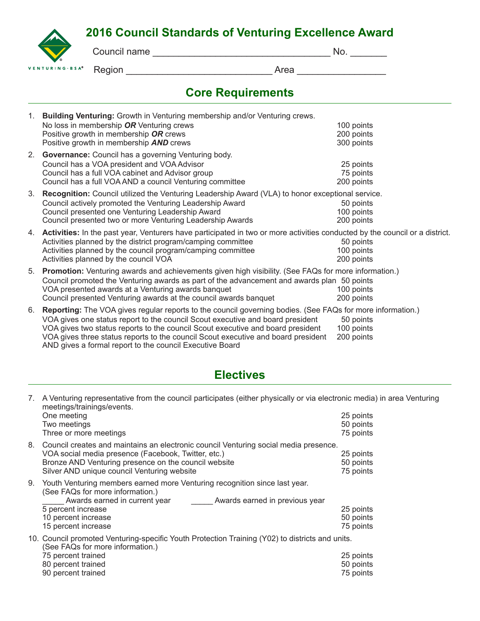## **2016 Council Standards of Venturing Excellence Award**

|                                                   | Council name |      | 'NO. |
|---------------------------------------------------|--------------|------|------|
| $\bullet$<br>VENTURING $\cdot$ B S A <sup>®</sup> | Region       | Area |      |

# **Core Requirements**

| 1. | Building Venturing: Growth in Venturing membership and/or Venturing crews.                                                  |            |  |  |
|----|-----------------------------------------------------------------------------------------------------------------------------|------------|--|--|
|    | No loss in membership OR Venturing crews                                                                                    | 100 points |  |  |
|    | Positive growth in membership OR crews                                                                                      | 200 points |  |  |
|    | Positive growth in membership <b>AND</b> crews                                                                              | 300 points |  |  |
| 2. | <b>Governance:</b> Council has a governing Venturing body.                                                                  |            |  |  |
|    | Council has a VOA president and VOA Advisor                                                                                 | 25 points  |  |  |
|    | Council has a full VOA cabinet and Advisor group                                                                            | 75 points  |  |  |
|    | Council has a full VOA AND a council Venturing committee                                                                    | 200 points |  |  |
| 3. | Recognition: Council utilized the Venturing Leadership Award (VLA) to honor exceptional service.                            |            |  |  |
|    | Council actively promoted the Venturing Leadership Award                                                                    | 50 points  |  |  |
|    | Council presented one Venturing Leadership Award                                                                            | 100 points |  |  |
|    | Council presented two or more Venturing Leadership Awards                                                                   | 200 points |  |  |
| 4. | Activities: In the past year, Venturers have participated in two or more activities conducted by the council or a district. |            |  |  |
|    | Activities planned by the district program/camping committee                                                                | 50 points  |  |  |
|    | Activities planned by the council program/camping committee                                                                 | 100 points |  |  |
|    | Activities planned by the council VOA                                                                                       | 200 points |  |  |
| 5. | <b>Promotion:</b> Venturing awards and achievements given high visibility. (See FAQs for more information.)                 |            |  |  |
|    | Council promoted the Venturing awards as part of the advancement and awards plan 50 points                                  |            |  |  |
|    | VOA presented awards at a Venturing awards banquet                                                                          | 100 points |  |  |
|    | Council presented Venturing awards at the council awards banquet                                                            | 200 points |  |  |
| 6. | Reporting: The VOA gives regular reports to the council governing bodies. (See FAQs for more information.)                  |            |  |  |
|    | VOA gives one status report to the council Scout executive and board president                                              | 50 points  |  |  |
|    | VOA gives two status reports to the council Scout executive and board president                                             | 100 points |  |  |
|    | VOA gives three status reports to the council Scout evecutive and hoard president                                           | 200 nointe |  |  |

VOA gives three status reports to the council Scout executive and board president 200 points AND gives a formal report to the council Executive Board

### **Electives**

| 7.                                                                                                                                                                                      | meetings/trainings/events.                                                                                                          | A Venturing representative from the council participates (either physically or via electronic media) in area Venturing |  |  |
|-----------------------------------------------------------------------------------------------------------------------------------------------------------------------------------------|-------------------------------------------------------------------------------------------------------------------------------------|------------------------------------------------------------------------------------------------------------------------|--|--|
|                                                                                                                                                                                         | One meeting                                                                                                                         | 25 points                                                                                                              |  |  |
|                                                                                                                                                                                         | Two meetings                                                                                                                        | 50 points                                                                                                              |  |  |
|                                                                                                                                                                                         | Three or more meetings                                                                                                              | 75 points                                                                                                              |  |  |
| 8.                                                                                                                                                                                      | Council creates and maintains an electronic council Venturing social media presence.                                                |                                                                                                                        |  |  |
|                                                                                                                                                                                         | VOA social media presence (Facebook, Twitter, etc.)                                                                                 | 25 points                                                                                                              |  |  |
|                                                                                                                                                                                         | Bronze AND Venturing presence on the council website                                                                                | 50 points                                                                                                              |  |  |
|                                                                                                                                                                                         | Silver AND unique council Venturing website                                                                                         | 75 points                                                                                                              |  |  |
| Youth Venturing members earned more Venturing recognition since last year.<br>9.<br>(See FAQs for more information.)<br>Awards earned in current year<br>Awards earned in previous year |                                                                                                                                     |                                                                                                                        |  |  |
|                                                                                                                                                                                         | 5 percent increase                                                                                                                  | 25 points                                                                                                              |  |  |
|                                                                                                                                                                                         | 10 percent increase                                                                                                                 | 50 points                                                                                                              |  |  |
|                                                                                                                                                                                         | 15 percent increase                                                                                                                 | 75 points                                                                                                              |  |  |
|                                                                                                                                                                                         | 10. Council promoted Venturing-specific Youth Protection Training (Y02) to districts and units.<br>(See FAQs for more information.) |                                                                                                                        |  |  |
|                                                                                                                                                                                         | 75 percent trained                                                                                                                  | 25 points                                                                                                              |  |  |
|                                                                                                                                                                                         | 80 percent trained                                                                                                                  | 50 points                                                                                                              |  |  |
|                                                                                                                                                                                         | 90 percent trained                                                                                                                  | 75 points                                                                                                              |  |  |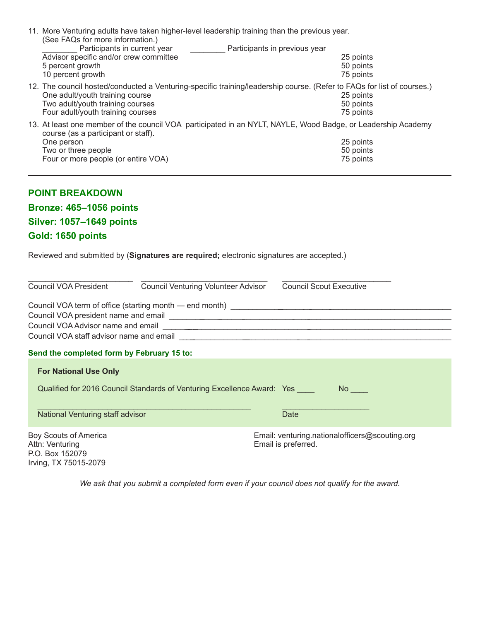| 11. More Venturing adults have taken higher-level leadership training than the previous year.<br>(See FAQs for more information.)<br>Participants in current year <b>Participants in previous year</b><br>Advisor specific and/or crew committee<br>5 percent growth<br>10 percent growth<br>12. The council hosted/conducted a Venturing-specific training/leadership course. (Refer to FAQs for list of courses.)<br>One adult/youth training course | 25 points<br>50 points<br>75 points<br>25 points |  |  |  |  |
|--------------------------------------------------------------------------------------------------------------------------------------------------------------------------------------------------------------------------------------------------------------------------------------------------------------------------------------------------------------------------------------------------------------------------------------------------------|--------------------------------------------------|--|--|--|--|
| Two adult/youth training courses<br>Four adult/youth training courses                                                                                                                                                                                                                                                                                                                                                                                  | 50 points<br>75 points                           |  |  |  |  |
| 13. At least one member of the council VOA participated in an NYLT, NAYLE, Wood Badge, or Leadership Academy<br>course (as a participant or staff).<br>One person<br>Two or three people<br>Four or more people (or entire VOA)                                                                                                                                                                                                                        | 25 points<br>50 points<br>75 points              |  |  |  |  |
| <b>POINT BREAKDOWN</b><br><b>Bronze: 465-1056 points</b><br><b>Silver: 1057-1649 points</b><br>Gold: 1650 points                                                                                                                                                                                                                                                                                                                                       |                                                  |  |  |  |  |
| Reviewed and submitted by (Signatures are required; electronic signatures are accepted.)                                                                                                                                                                                                                                                                                                                                                               |                                                  |  |  |  |  |
| <b>Council VOA President</b><br><b>Council Venturing Volunteer Advisor</b>                                                                                                                                                                                                                                                                                                                                                                             | <b>Council Scout Executive</b>                   |  |  |  |  |
| Council VOA term of office (starting month - end month) _________________________<br>Council VOA Advisor name and email<br>Council VOA staff advisor name and email <b>contract to the state of the contract of the contract of the contract of the contract of the contract of the contract of the contract of the contract of the contract of the contrac</b>                                                                                        |                                                  |  |  |  |  |
| Send the completed form by February 15 to:                                                                                                                                                                                                                                                                                                                                                                                                             |                                                  |  |  |  |  |
| <b>For National Use Only</b>                                                                                                                                                                                                                                                                                                                                                                                                                           |                                                  |  |  |  |  |
| Qualified for 2016 Council Standards of Venturing Excellence Award: Yes ____                                                                                                                                                                                                                                                                                                                                                                           |                                                  |  |  |  |  |
| National Venturing staff advisor                                                                                                                                                                                                                                                                                                                                                                                                                       | <b>Date</b>                                      |  |  |  |  |
|                                                                                                                                                                                                                                                                                                                                                                                                                                                        |                                                  |  |  |  |  |

Attn: Venturing **Email is preferred.** P.O. Box 152079 Irving, TX 75015-2079

Boy Scouts of America Email: venturing.nationalofficers@scouting.org

*We ask that you submit a completed form even if your council does not qualify for the award.*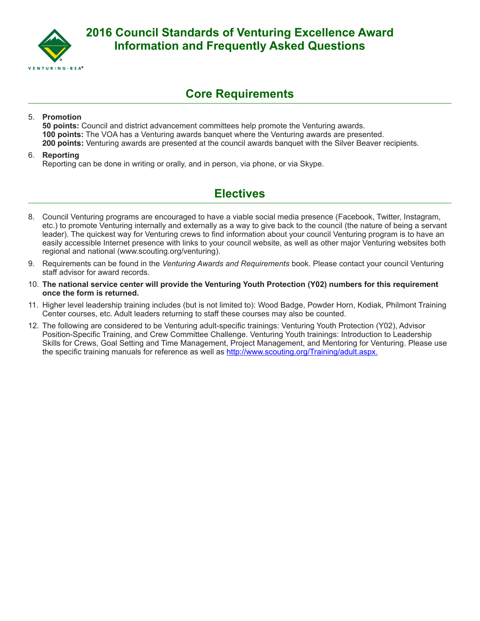

### **Core Requirements**

#### 5. **Promotion**

**50 points:** Council and district advancement committees help promote the Venturing awards. **100 points:** The VOA has a Venturing awards banquet where the Venturing awards are presented. **200 points:** Venturing awards are presented at the council awards banquet with the Silver Beaver recipients.

#### 6. **Reporting**

Reporting can be done in writing or orally, and in person, via phone, or via Skype.

### **Electives**

- 8. Council Venturing programs are encouraged to have a viable social media presence (Facebook, Twitter, Instagram, etc.) to promote Venturing internally and externally as a way to give back to the council (the nature of being a servant leader). The quickest way for Venturing crews to find information about your council Venturing program is to have an easily accessible Internet presence with links to your council website, as well as other major Venturing websites both regional and national (www.scouting.org/venturing).
- 9. Requirements can be found in the *Venturing Awards and Requirements* book. Please contact your council Venturing staff advisor for award records.
- 10. **The national service center will provide the Venturing Youth Protection (Y02) numbers for this requirement once the form is returned.**
- 11. Higher level leadership training includes (but is not limited to): Wood Badge, Powder Horn, Kodiak, Philmont Training Center courses, etc. Adult leaders returning to staff these courses may also be counted.
- 12. The following are considered to be Venturing adult-specific trainings: Venturing Youth Protection (Y02), Advisor Position-Specific Training, and Crew Committee Challenge. Venturing Youth trainings: Introduction to Leadership Skills for Crews, Goal Setting and Time Management, Project Management, and Mentoring for Venturing. Please use the specific training manuals for reference as well as http://www.scouting.org/Training/adult.aspx.